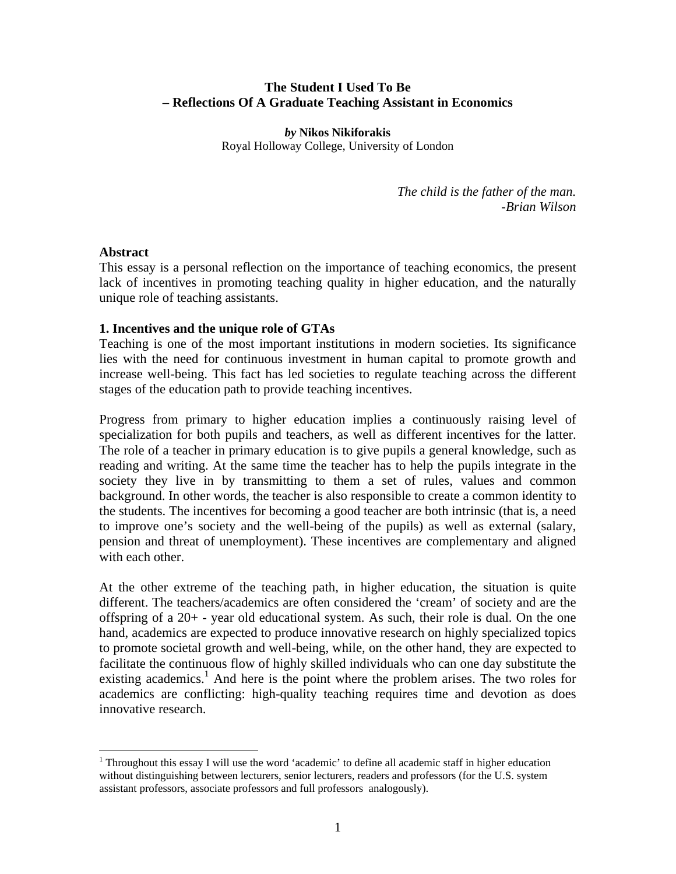## **The Student I Used To Be – Reflections Of A Graduate Teaching Assistant in Economics**

*by* **Nikos Nikiforakis**  Royal Holloway College, University of London

> *The child is the father of the man. -Brian Wilson*

#### **Abstract**

1

This essay is a personal reflection on the importance of teaching economics, the present lack of incentives in promoting teaching quality in higher education, and the naturally unique role of teaching assistants.

## **1. Incentives and the unique role of GTAs**

Teaching is one of the most important institutions in modern societies. Its significance lies with the need for continuous investment in human capital to promote growth and increase well-being. This fact has led societies to regulate teaching across the different stages of the education path to provide teaching incentives.

Progress from primary to higher education implies a continuously raising level of specialization for both pupils and teachers, as well as different incentives for the latter. The role of a teacher in primary education is to give pupils a general knowledge, such as reading and writing. At the same time the teacher has to help the pupils integrate in the society they live in by transmitting to them a set of rules, values and common background. In other words, the teacher is also responsible to create a common identity to the students. The incentives for becoming a good teacher are both intrinsic (that is, a need to improve one's society and the well-being of the pupils) as well as external (salary, pension and threat of unemployment). These incentives are complementary and aligned with each other.

At the other extreme of the teaching path, in higher education, the situation is quite different. The teachers/academics are often considered the 'cream' of society and are the offspring of a 20+ - year old educational system. As such, their role is dual. On the one hand, academics are expected to produce innovative research on highly specialized topics to promote societal growth and well-being, while, on the other hand, they are expected to facilitate the continuous flow of highly skilled individuals who can one day substitute the existing academics.<sup>1</sup> And here is the point where the problem arises. The two roles for academics are conflicting: high-quality teaching requires time and devotion as does innovative research.

<sup>&</sup>lt;sup>1</sup> Throughout this essay I will use the word 'academic' to define all academic staff in higher education without distinguishing between lecturers, senior lecturers, readers and professors (for the U.S. system assistant professors, associate professors and full professors analogously).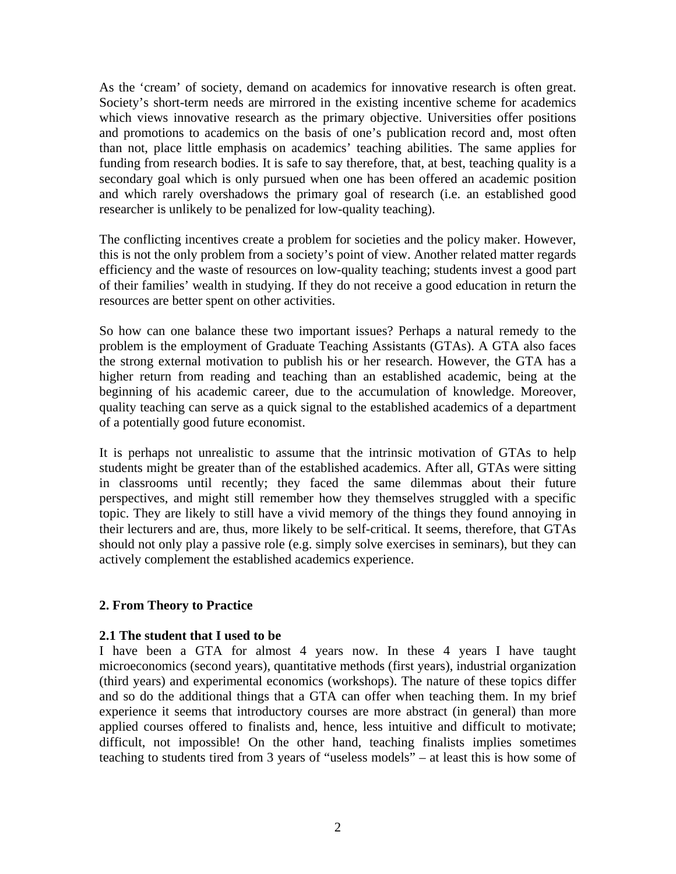As the 'cream' of society, demand on academics for innovative research is often great. Society's short-term needs are mirrored in the existing incentive scheme for academics which views innovative research as the primary objective. Universities offer positions and promotions to academics on the basis of one's publication record and, most often than not, place little emphasis on academics' teaching abilities. The same applies for funding from research bodies. It is safe to say therefore, that, at best, teaching quality is a secondary goal which is only pursued when one has been offered an academic position and which rarely overshadows the primary goal of research (i.e. an established good researcher is unlikely to be penalized for low-quality teaching).

The conflicting incentives create a problem for societies and the policy maker. However, this is not the only problem from a society's point of view. Another related matter regards efficiency and the waste of resources on low-quality teaching; students invest a good part of their families' wealth in studying. If they do not receive a good education in return the resources are better spent on other activities.

So how can one balance these two important issues? Perhaps a natural remedy to the problem is the employment of Graduate Teaching Assistants (GTAs). A GTA also faces the strong external motivation to publish his or her research. However, the GTA has a higher return from reading and teaching than an established academic, being at the beginning of his academic career, due to the accumulation of knowledge. Moreover, quality teaching can serve as a quick signal to the established academics of a department of a potentially good future economist.

It is perhaps not unrealistic to assume that the intrinsic motivation of GTAs to help students might be greater than of the established academics. After all, GTAs were sitting in classrooms until recently; they faced the same dilemmas about their future perspectives, and might still remember how they themselves struggled with a specific topic. They are likely to still have a vivid memory of the things they found annoying in their lecturers and are, thus, more likely to be self-critical. It seems, therefore, that GTAs should not only play a passive role (e.g. simply solve exercises in seminars), but they can actively complement the established academics experience.

#### **2. From Theory to Practice**

#### **2.1 The student that I used to be**

I have been a GTA for almost 4 years now. In these 4 years I have taught microeconomics (second years), quantitative methods (first years), industrial organization (third years) and experimental economics (workshops). The nature of these topics differ and so do the additional things that a GTA can offer when teaching them. In my brief experience it seems that introductory courses are more abstract (in general) than more applied courses offered to finalists and, hence, less intuitive and difficult to motivate; difficult, not impossible! On the other hand, teaching finalists implies sometimes teaching to students tired from 3 years of "useless models" – at least this is how some of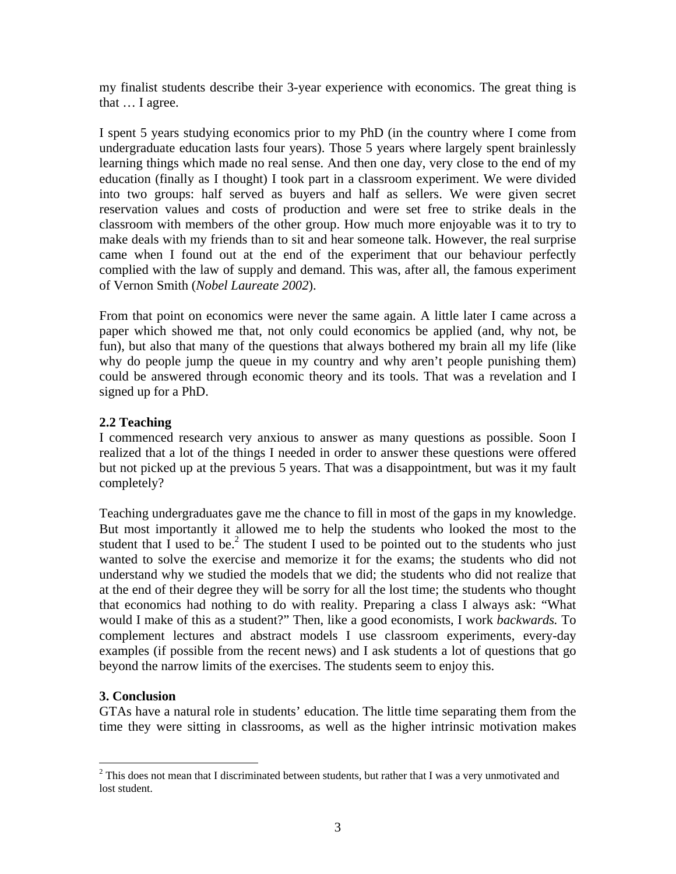my finalist students describe their 3-year experience with economics. The great thing is that … I agree.

I spent 5 years studying economics prior to my PhD (in the country where I come from undergraduate education lasts four years). Those 5 years where largely spent brainlessly learning things which made no real sense. And then one day, very close to the end of my education (finally as I thought) I took part in a classroom experiment. We were divided into two groups: half served as buyers and half as sellers. We were given secret reservation values and costs of production and were set free to strike deals in the classroom with members of the other group. How much more enjoyable was it to try to make deals with my friends than to sit and hear someone talk. However, the real surprise came when I found out at the end of the experiment that our behaviour perfectly complied with the law of supply and demand. This was, after all, the famous experiment of Vernon Smith (*Nobel Laureate 2002*).

From that point on economics were never the same again. A little later I came across a paper which showed me that, not only could economics be applied (and, why not, be fun), but also that many of the questions that always bothered my brain all my life (like why do people jump the queue in my country and why aren't people punishing them) could be answered through economic theory and its tools. That was a revelation and I signed up for a PhD.

# **2.2 Teaching**

I commenced research very anxious to answer as many questions as possible. Soon I realized that a lot of the things I needed in order to answer these questions were offered but not picked up at the previous 5 years. That was a disappointment, but was it my fault completely?

Teaching undergraduates gave me the chance to fill in most of the gaps in my knowledge. But most importantly it allowed me to help the students who looked the most to the student that I used to be.<sup>2</sup> The student I used to be pointed out to the students who just wanted to solve the exercise and memorize it for the exams; the students who did not understand why we studied the models that we did; the students who did not realize that at the end of their degree they will be sorry for all the lost time; the students who thought that economics had nothing to do with reality. Preparing a class I always ask: "What would I make of this as a student?" Then, like a good economists, I work *backwards.* To complement lectures and abstract models I use classroom experiments, every-day examples (if possible from the recent news) and I ask students a lot of questions that go beyond the narrow limits of the exercises. The students seem to enjoy this.

#### **3. Conclusion**

 $\overline{a}$ 

GTAs have a natural role in students' education. The little time separating them from the time they were sitting in classrooms, as well as the higher intrinsic motivation makes

 $2$  This does not mean that I discriminated between students, but rather that I was a very unmotivated and lost student.